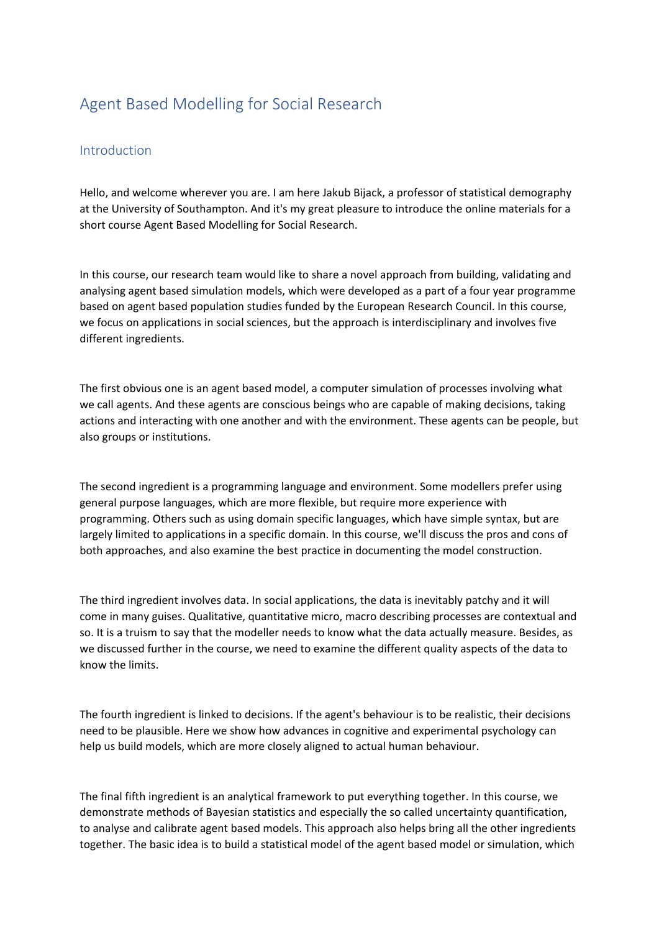## Agent Based Modelling for Social Research

## Introduction

Hello, and welcome wherever you are. I am here Jakub Bijack, a professor of statistical demography at the University of Southampton. And it's my great pleasure to introduce the online materials for a short course Agent Based Modelling for Social Research.

In this course, our research team would like to share a novel approach from building, validating and analysing agent based simulation models, which were developed as a part of a four year programme based on agent based population studies funded by the European Research Council. In this course, we focus on applications in social sciences, but the approach is interdisciplinary and involves five different ingredients.

The first obvious one is an agent based model, a computer simulation of processes involving what we call agents. And these agents are conscious beings who are capable of making decisions, taking actions and interacting with one another and with the environment. These agents can be people, but also groups or institutions.

The second ingredient is a programming language and environment. Some modellers prefer using general purpose languages, which are more flexible, but require more experience with programming. Others such as using domain specific languages, which have simple syntax, but are largely limited to applications in a specific domain. In this course, we'll discuss the pros and cons of both approaches, and also examine the best practice in documenting the model construction.

The third ingredient involves data. In social applications, the data is inevitably patchy and it will come in many guises. Qualitative, quantitative micro, macro describing processes are contextual and so. It is a truism to say that the modeller needs to know what the data actually measure. Besides, as we discussed further in the course, we need to examine the different quality aspects of the data to know the limits.

The fourth ingredient is linked to decisions. If the agent's behaviour is to be realistic, their decisions need to be plausible. Here we show how advances in cognitive and experimental psychology can help us build models, which are more closely aligned to actual human behaviour.

The final fifth ingredient is an analytical framework to put everything together. In this course, we demonstrate methods of Bayesian statistics and especially the so called uncertainty quantification, to analyse and calibrate agent based models. This approach also helps bring all the other ingredients together. The basic idea is to build a statistical model of the agent based model or simulation, which